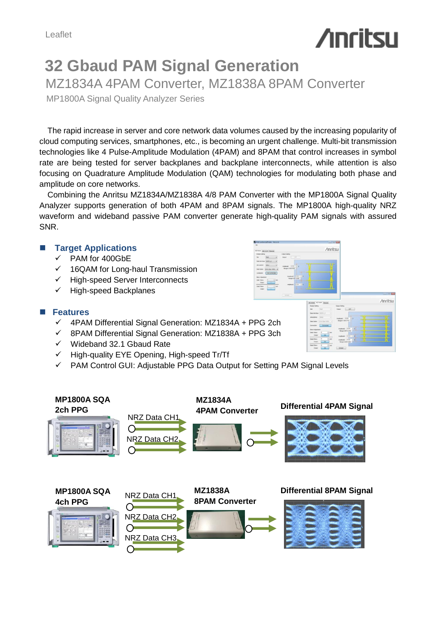# **/inritsu**

# **32 Gbaud PAM Signal Generation** MZ1834A 4PAM Converter, MZ1838A 8PAM Converter

MP1800A Signal Quality Analyzer Series

The rapid increase in server and core network data volumes caused by the increasing popularity of cloud computing services, smartphones, etc., is becoming an urgent challenge. Multi-bit transmission technologies like 4 Pulse-Amplitude Modulation (4PAM) and 8PAM that control increases in symbol rate are being tested for server backplanes and backplane interconnects, while attention is also focusing on Quadrature Amplitude Modulation (QAM) technologies for modulating both phase and amplitude on core networks.

Combining the Anritsu MZ1834A/MZ1838A 4/8 PAM Converter with the MP1800A Signal Quality Analyzer supports generation of both 4PAM and 8PAM signals. The MP1800A high-quality NRZ waveform and wideband passive PAM converter generate high-quality PAM signals with assured SNR.

#### **Target Applications**

- $\checkmark$  PAM for 400GbE
- $\checkmark$  16QAM for Long-haul Transmission
- High-speed Server Interconnects
- High-speed Backplanes

### **Features**

- $\checkmark$  4PAM Differential Signal Generation: MZ1834A + PPG 2ch
- 8PAM Differential Signal Generation: MZ1838A + PPG 3ch
- $\checkmark$  Wideband 32.1 Gbaud Rate
- $\checkmark$  High-quality EYE Opening, High-speed Tr/Tf
- $\checkmark$  PAM Control GUI: Adjustable PPG Data Output for Setting PAM Signal Levels





/inrits: